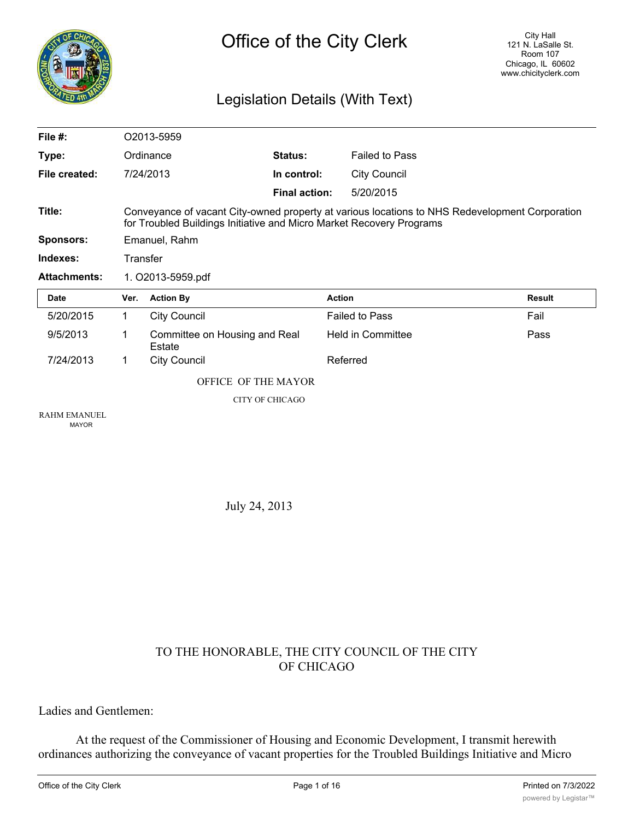

# Legislation Details (With Text)

| File #:             |                                                                                                                                                                        | O2013-5959                              |                      |                          |        |  |  |
|---------------------|------------------------------------------------------------------------------------------------------------------------------------------------------------------------|-----------------------------------------|----------------------|--------------------------|--------|--|--|
| Type:               |                                                                                                                                                                        | Ordinance                               | <b>Status:</b>       | <b>Failed to Pass</b>    |        |  |  |
| File created:       |                                                                                                                                                                        | 7/24/2013                               | In control:          | <b>City Council</b>      |        |  |  |
|                     |                                                                                                                                                                        |                                         | <b>Final action:</b> | 5/20/2015                |        |  |  |
| Title:              | Conveyance of vacant City-owned property at various locations to NHS Redevelopment Corporation<br>for Troubled Buildings Initiative and Micro Market Recovery Programs |                                         |                      |                          |        |  |  |
| <b>Sponsors:</b>    | Emanuel, Rahm                                                                                                                                                          |                                         |                      |                          |        |  |  |
| Indexes:            | Transfer                                                                                                                                                               |                                         |                      |                          |        |  |  |
| <b>Attachments:</b> | 1. O2013-5959.pdf                                                                                                                                                      |                                         |                      |                          |        |  |  |
|                     |                                                                                                                                                                        |                                         |                      |                          |        |  |  |
| <b>Date</b>         | Ver.                                                                                                                                                                   | <b>Action By</b>                        | <b>Action</b>        |                          | Result |  |  |
| 5/20/2015           | 1.                                                                                                                                                                     | City Council                            |                      | <b>Failed to Pass</b>    | Fail   |  |  |
| 9/5/2013            | 1                                                                                                                                                                      | Committee on Housing and Real<br>Estate |                      | <b>Held in Committee</b> | Pass   |  |  |
| 7/24/2013           | $\mathbf 1$                                                                                                                                                            | <b>City Council</b>                     |                      | Referred                 |        |  |  |
|                     |                                                                                                                                                                        | OFFICE OF THE MAYOR                     |                      |                          |        |  |  |
|                     |                                                                                                                                                                        | <b>CITY OF CHICAGO</b>                  |                      |                          |        |  |  |

July 24, 2013

# TO THE HONORABLE, THE CITY COUNCIL OF THE CITY OF CHICAGO

Ladies and Gentlemen:

At the request of the Commissioner of Housing and Economic Development, I transmit herewith ordinances authorizing the conveyance of vacant properties for the Troubled Buildings Initiative and Micro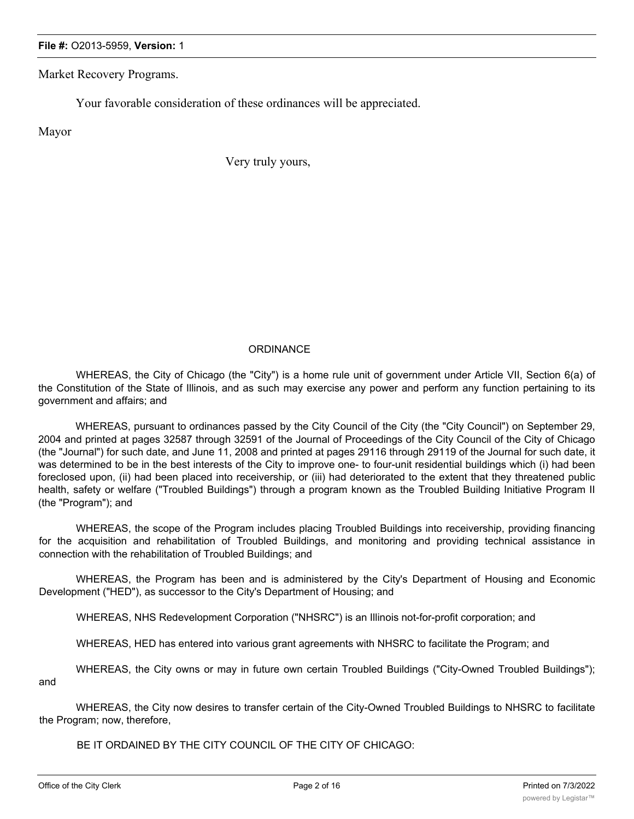Market Recovery Programs.

Your favorable consideration of these ordinances will be appreciated.

Mayor

Very truly yours,

#### **ORDINANCE**

WHEREAS, the City of Chicago (the "City") is a home rule unit of government under Article VII, Section 6(a) of the Constitution of the State of Illinois, and as such may exercise any power and perform any function pertaining to its government and affairs; and

WHEREAS, pursuant to ordinances passed by the City Council of the City (the "City Council") on September 29, 2004 and printed at pages 32587 through 32591 of the Journal of Proceedings of the City Council of the City of Chicago (the "Journal") for such date, and June 11, 2008 and printed at pages 29116 through 29119 of the Journal for such date, it was determined to be in the best interests of the City to improve one- to four-unit residential buildings which (i) had been foreclosed upon, (ii) had been placed into receivership, or (iii) had deteriorated to the extent that they threatened public health, safety or welfare ("Troubled Buildings") through a program known as the Troubled Building Initiative Program II (the "Program"); and

WHEREAS, the scope of the Program includes placing Troubled Buildings into receivership, providing financing for the acquisition and rehabilitation of Troubled Buildings, and monitoring and providing technical assistance in connection with the rehabilitation of Troubled Buildings; and

WHEREAS, the Program has been and is administered by the City's Department of Housing and Economic Development ("HED"), as successor to the City's Department of Housing; and

WHEREAS, NHS Redevelopment Corporation ("NHSRC") is an Illinois not-for-profit corporation; and

WHEREAS, HED has entered into various grant agreements with NHSRC to facilitate the Program; and

WHEREAS, the City owns or may in future own certain Troubled Buildings ("City-Owned Troubled Buildings"); and

WHEREAS, the City now desires to transfer certain of the City-Owned Troubled Buildings to NHSRC to facilitate the Program; now, therefore,

BE IT ORDAINED BY THE CITY COUNCIL OF THE CITY OF CHICAGO:

SECTION 1. The above recitals are expressed in and made a part of this ordinance as this ordinance as though function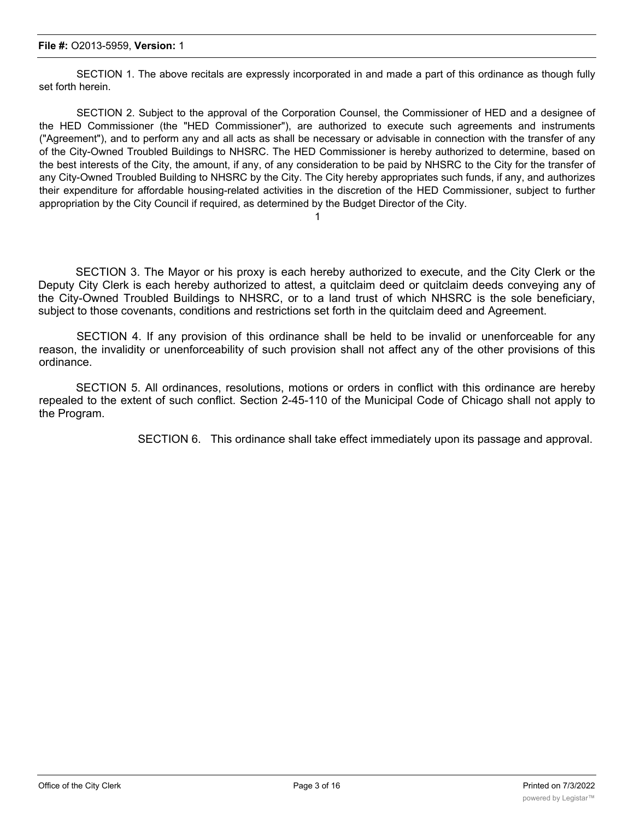SECTION 1. The above recitals are expressly incorporated in and made a part of this ordinance as though fully set forth herein.

SECTION 2. Subject to the approval of the Corporation Counsel, the Commissioner of HED and a designee of the HED Commissioner (the "HED Commissioner"), are authorized to execute such agreements and instruments ("Agreement"), and to perform any and all acts as shall be necessary or advisable in connection with the transfer of any of the City-Owned Troubled Buildings to NHSRC. The HED Commissioner is hereby authorized to determine, based on the best interests of the City, the amount, if any, of any consideration to be paid by NHSRC to the City for the transfer of any City-Owned Troubled Building to NHSRC by the City. The City hereby appropriates such funds, if any, and authorizes their expenditure for affordable housing-related activities in the discretion of the HED Commissioner, subject to further appropriation by the City Council if required, as determined by the Budget Director of the City.

1

SECTION 3. The Mayor or his proxy is each hereby authorized to execute, and the City Clerk or the Deputy City Clerk is each hereby authorized to attest, a quitclaim deed or quitclaim deeds conveying any of the City-Owned Troubled Buildings to NHSRC, or to a land trust of which NHSRC is the sole beneficiary, subject to those covenants, conditions and restrictions set forth in the quitclaim deed and Agreement.

SECTION 4. If any provision of this ordinance shall be held to be invalid or unenforceable for any reason, the invalidity or unenforceability of such provision shall not affect any of the other provisions of this ordinance.

SECTION 5. All ordinances, resolutions, motions or orders in conflict with this ordinance are hereby repealed to the extent of such conflict. Section 2-45-110 of the Municipal Code of Chicago shall not apply to the Program.

SECTION 6. This ordinance shall take effect immediately upon its passage and approval.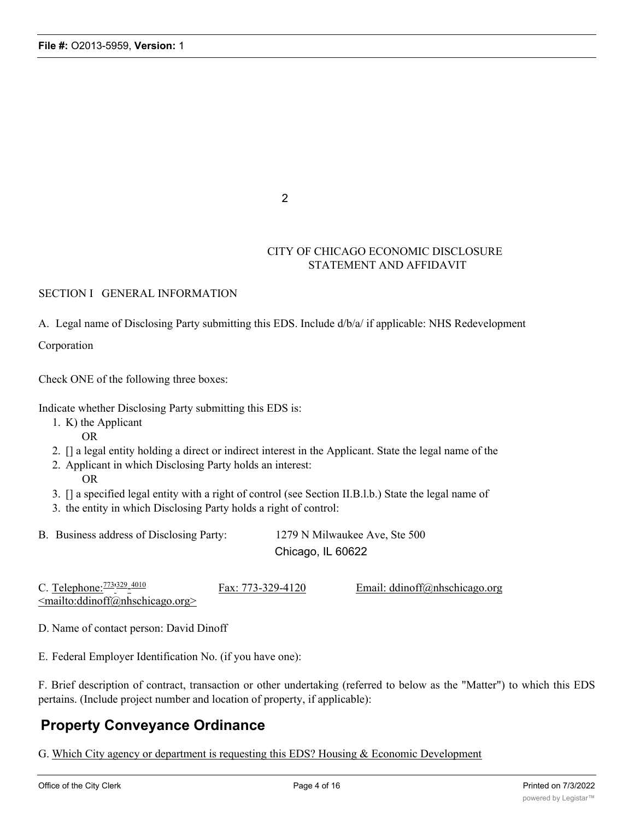2

# CITY OF CHICAGO ECONOMIC DISCLOSURE STATEMENT AND AFFIDAVIT

#### SECTION I GENERAL INFORMATION

A. Legal name of Disclosing Party submitting this EDS. Include d/b/a/ if applicable: NHS Redevelopment

Corporation

Check ONE of the following three boxes:

Indicate whether Disclosing Party submitting this EDS is:

- 1. K) the Applicant
	- OR
- 2. [] a legal entity holding a direct or indirect interest in the Applicant. State the legal name of the
- 2. Applicant in which Disclosing Party holds an interest:
	- OR
- 3. [] a specified legal entity with a right of control (see Section II.B.l.b.) State the legal name of
- 3. the entity in which Disclosing Party holds a right of control:

B. Business address of Disclosing Party: 1279 N Milwaukee Ave, Ste 500 Chicago, IL 60622

C. Telephone: 773'329 <mailto:ddinoff@nhschicago.org>  $\frac{Fax: 773-329-4120}{Email: ddinoff@nhschicago.org}$ 

D. Name of contact person: David Dinoff

E. Federal Employer Identification No. (if you have one):

F. Brief description of contract, transaction or other undertaking (referred to below as the "Matter") to which this EDS pertains. (Include project number and location of property, if applicable):

# **Property Conveyance Ordinance**

G. Which City agency or department is requesting this EDS? Housing & Economic Development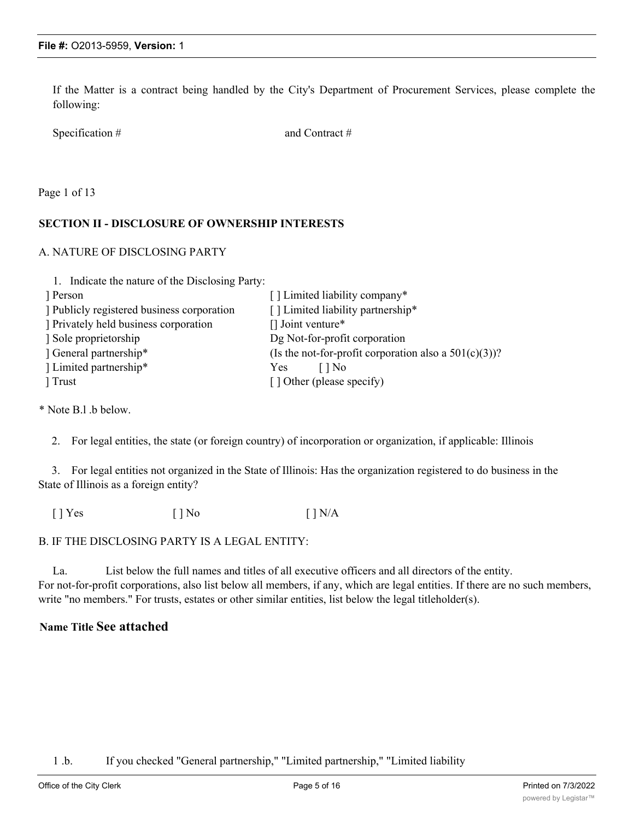If the Matter is a contract being handled by the City's Department of Procurement Services, please complete the following:

Specification # and Contract #

Page 1 of 13

## **SECTION II - DISCLOSURE OF OWNERSHIP INTERESTS**

#### A. NATURE OF DISCLOSING PARTY

| 1. Indicate the nature of the Disclosing Party: |                                                          |
|-------------------------------------------------|----------------------------------------------------------|
| Person                                          | [] Limited liability company*                            |
| Publicly registered business corporation        | [] Limited liability partnership*                        |
| Privately held business corporation             | $\lceil$ Joint venture*                                  |
| Sole proprietorship                             | Dg Not-for-profit corporation                            |
| General partnership*                            | (Is the not-for-profit corporation also a $501(c)(3)$ )? |
| Limited partnership*                            | Yes<br>l I No                                            |
| Trust                                           | [] Other (please specify)                                |

\* Note B.l .b below.

2. For legal entities, the state (or foreign country) of incorporation or organization, if applicable: Illinois

3. For legal entities not organized in the State of Illinois: Has the organization registered to do business in the State of Illinois as a foreign entity?

 $[ ]$  Yes  $[ ]$  No  $[ ]$  N/A

B. IF THE DISCLOSING PARTY IS A LEGAL ENTITY:

La. List below the full names and titles of all executive officers and all directors of the entity. For not-for-profit corporations, also list below all members, if any, which are legal entities. If there are no such members, write "no members." For trusts, estates or other similar entities, list below the legal titleholder(s).

# **Name Title See attached**

1 .b. If you checked "General partnership," "Limited partnership," "Limited liability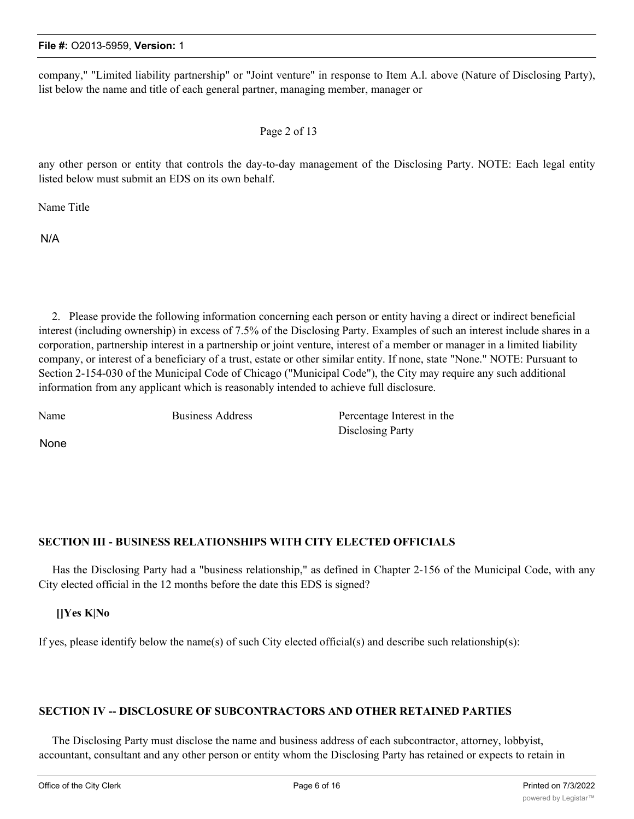company," "Limited liability partnership" or "Joint venture" in response to Item A.l. above (Nature of Disclosing Party), list below the name and title of each general partner, managing member, manager or

## Page 2 of 13

any other person or entity that controls the day-to-day management of the Disclosing Party. NOTE: Each legal entity listed below must submit an EDS on its own behalf.

Name Title

N/A

2. Please provide the following information concerning each person or entity having a direct or indirect beneficial interest (including ownership) in excess of 7.5% of the Disclosing Party. Examples of such an interest include shares in a corporation, partnership interest in a partnership or joint venture, interest of a member or manager in a limited liability company, or interest of a beneficiary of a trust, estate or other similar entity. If none, state "None." NOTE: Pursuant to Section 2-154-030 of the Municipal Code of Chicago ("Municipal Code"), the City may require any such additional information from any applicant which is reasonably intended to achieve full disclosure.

Name Business Address Percentage Interest in the Disclosing Party

None

# **SECTION III - BUSINESS RELATIONSHIPS WITH CITY ELECTED OFFICIALS**

Has the Disclosing Party had a "business relationship," as defined in Chapter 2-156 of the Municipal Code, with any City elected official in the 12 months before the date this EDS is signed?

**[]Yes K|No**

If yes, please identify below the name(s) of such City elected official(s) and describe such relationship(s):

# **SECTION IV -- DISCLOSURE OF SUBCONTRACTORS AND OTHER RETAINED PARTIES**

The Disclosing Party must disclose the name and business address of each subcontractor, attorney, lobbyist, accountant, consultant and any other person or entity whom the Disclosing Party has retained or expects to retain in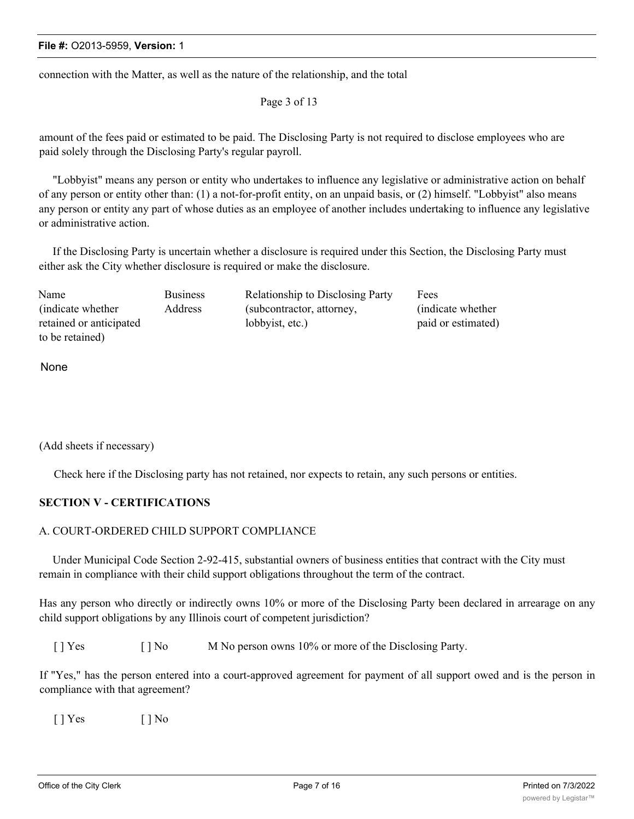connection with the Matter, as well as the nature of the relationship, and the total

Page 3 of 13

amount of the fees paid or estimated to be paid. The Disclosing Party is not required to disclose employees who are paid solely through the Disclosing Party's regular payroll.

"Lobbyist" means any person or entity who undertakes to influence any legislative or administrative action on behalf of any person or entity other than: (1) a not-for-profit entity, on an unpaid basis, or (2) himself. "Lobbyist" also means any person or entity any part of whose duties as an employee of another includes undertaking to influence any legislative or administrative action.

If the Disclosing Party is uncertain whether a disclosure is required under this Section, the Disclosing Party must either ask the City whether disclosure is required or make the disclosure.

| Name                    | <b>Business</b> | <b>Relationship to Disclosing Party</b> | Fees               |
|-------------------------|-----------------|-----------------------------------------|--------------------|
| (indicate whether)      | Address         | (subcontractor, attorney,               | (indicate whether) |
| retained or anticipated |                 | lobbyist, etc.)                         | paid or estimated) |
| to be retained)         |                 |                                         |                    |

None

(Add sheets if necessary)

Check here if the Disclosing party has not retained, nor expects to retain, any such persons or entities.

#### **SECTION V - CERTIFICATIONS**

#### A. COURT-ORDERED CHILD SUPPORT COMPLIANCE

Under Municipal Code Section 2-92-415, substantial owners of business entities that contract with the City must remain in compliance with their child support obligations throughout the term of the contract.

Has any person who directly or indirectly owns 10% or more of the Disclosing Party been declared in arrearage on any child support obligations by any Illinois court of competent jurisdiction?

[ ] Yes [ ] No M No person owns 10% or more of the Disclosing Party.

If "Yes," has the person entered into a court-approved agreement for payment of all support owed and is the person in compliance with that agreement?

 $[$  | Yes  $[$  | No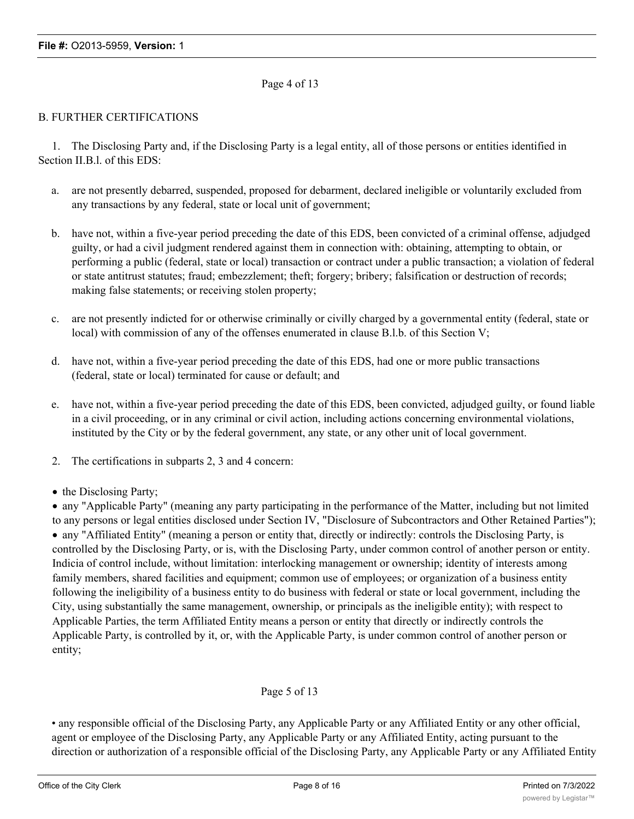# Page 4 of 13

### B. FURTHER CERTIFICATIONS

1. The Disclosing Party and, if the Disclosing Party is a legal entity, all of those persons or entities identified in Section II.B.l. of this EDS:

- a. are not presently debarred, suspended, proposed for debarment, declared ineligible or voluntarily excluded from any transactions by any federal, state or local unit of government;
- b. have not, within a five-year period preceding the date of this EDS, been convicted of a criminal offense, adjudged guilty, or had a civil judgment rendered against them in connection with: obtaining, attempting to obtain, or performing a public (federal, state or local) transaction or contract under a public transaction; a violation of federal or state antitrust statutes; fraud; embezzlement; theft; forgery; bribery; falsification or destruction of records; making false statements; or receiving stolen property;
- c. are not presently indicted for or otherwise criminally or civilly charged by a governmental entity (federal, state or local) with commission of any of the offenses enumerated in clause B.l.b. of this Section V;
- d. have not, within a five-year period preceding the date of this EDS, had one or more public transactions (federal, state or local) terminated for cause or default; and
- e. have not, within a five-year period preceding the date of this EDS, been convicted, adjudged guilty, or found liable in a civil proceeding, or in any criminal or civil action, including actions concerning environmental violations, instituted by the City or by the federal government, any state, or any other unit of local government.
- 2. The certifications in subparts 2, 3 and 4 concern:
- the Disclosing Party;

· any "Applicable Party" (meaning any party participating in the performance of the Matter, including but not limited to any persons or legal entities disclosed under Section IV, "Disclosure of Subcontractors and Other Retained Parties"); · any "Affiliated Entity" (meaning a person or entity that, directly or indirectly: controls the Disclosing Party, is controlled by the Disclosing Party, or is, with the Disclosing Party, under common control of another person or entity. Indicia of control include, without limitation: interlocking management or ownership; identity of interests among family members, shared facilities and equipment; common use of employees; or organization of a business entity following the ineligibility of a business entity to do business with federal or state or local government, including the City, using substantially the same management, ownership, or principals as the ineligible entity); with respect to Applicable Parties, the term Affiliated Entity means a person or entity that directly or indirectly controls the Applicable Party, is controlled by it, or, with the Applicable Party, is under common control of another person or entity;

# Page 5 of 13

• any responsible official of the Disclosing Party, any Applicable Party or any Affiliated Entity or any other official, agent or employee of the Disclosing Party, any Applicable Party or any Affiliated Entity, acting pursuant to the direction or authorization of a responsible official of the Disclosing Party, any Applicable Party or any Affiliated Entity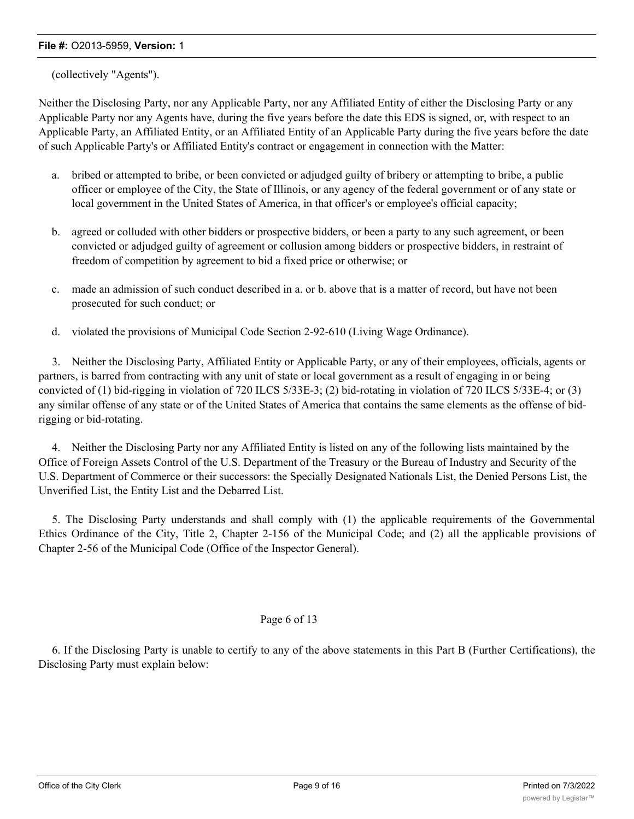### (collectively "Agents").

Neither the Disclosing Party, nor any Applicable Party, nor any Affiliated Entity of either the Disclosing Party or any Applicable Party nor any Agents have, during the five years before the date this EDS is signed, or, with respect to an Applicable Party, an Affiliated Entity, or an Affiliated Entity of an Applicable Party during the five years before the date of such Applicable Party's or Affiliated Entity's contract or engagement in connection with the Matter:

- a. bribed or attempted to bribe, or been convicted or adjudged guilty of bribery or attempting to bribe, a public officer or employee of the City, the State of Illinois, or any agency of the federal government or of any state or local government in the United States of America, in that officer's or employee's official capacity;
- b. agreed or colluded with other bidders or prospective bidders, or been a party to any such agreement, or been convicted or adjudged guilty of agreement or collusion among bidders or prospective bidders, in restraint of freedom of competition by agreement to bid a fixed price or otherwise; or
- c. made an admission of such conduct described in a. or b. above that is a matter of record, but have not been prosecuted for such conduct; or
- d. violated the provisions of Municipal Code Section 2-92-610 (Living Wage Ordinance).

3. Neither the Disclosing Party, Affiliated Entity or Applicable Party, or any of their employees, officials, agents or partners, is barred from contracting with any unit of state or local government as a result of engaging in or being convicted of (1) bid-rigging in violation of 720 ILCS 5/33E-3; (2) bid-rotating in violation of 720 ILCS 5/33E-4; or (3) any similar offense of any state or of the United States of America that contains the same elements as the offense of bidrigging or bid-rotating.

4. Neither the Disclosing Party nor any Affiliated Entity is listed on any of the following lists maintained by the Office of Foreign Assets Control of the U.S. Department of the Treasury or the Bureau of Industry and Security of the U.S. Department of Commerce or their successors: the Specially Designated Nationals List, the Denied Persons List, the Unverified List, the Entity List and the Debarred List.

5. The Disclosing Party understands and shall comply with (1) the applicable requirements of the Governmental Ethics Ordinance of the City, Title 2, Chapter 2-156 of the Municipal Code; and (2) all the applicable provisions of Chapter 2-56 of the Municipal Code (Office of the Inspector General).

#### Page 6 of 13

6. If the Disclosing Party is unable to certify to any of the above statements in this Part B (Further Certifications), the Disclosing Party must explain below: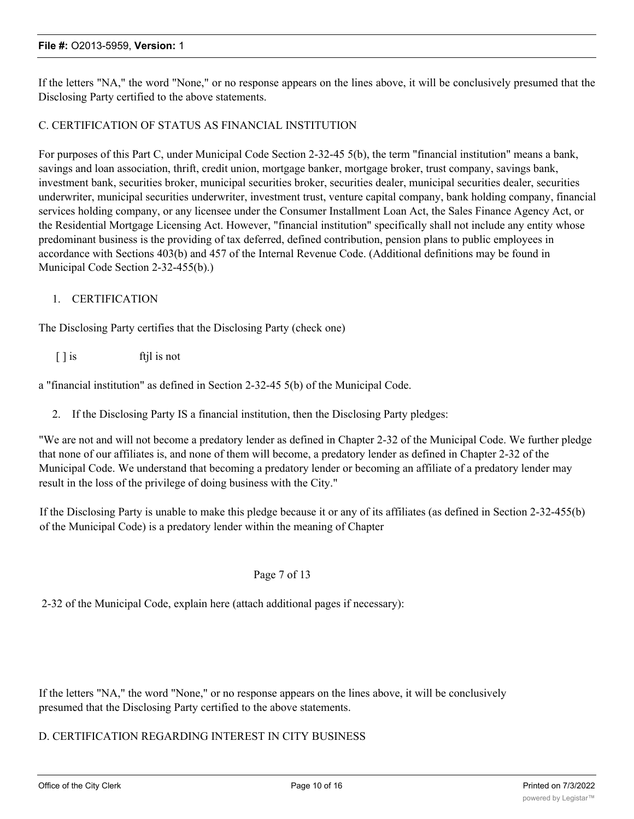If the letters "NA," the word "None," or no response appears on the lines above, it will be conclusively presumed that the Disclosing Party certified to the above statements.

#### C. CERTIFICATION OF STATUS AS FINANCIAL INSTITUTION

For purposes of this Part C, under Municipal Code Section 2-32-45 5(b), the term "financial institution" means a bank, savings and loan association, thrift, credit union, mortgage banker, mortgage broker, trust company, savings bank, investment bank, securities broker, municipal securities broker, securities dealer, municipal securities dealer, securities underwriter, municipal securities underwriter, investment trust, venture capital company, bank holding company, financial services holding company, or any licensee under the Consumer Installment Loan Act, the Sales Finance Agency Act, or the Residential Mortgage Licensing Act. However, "financial institution" specifically shall not include any entity whose predominant business is the providing of tax deferred, defined contribution, pension plans to public employees in accordance with Sections 403(b) and 457 of the Internal Revenue Code. (Additional definitions may be found in Municipal Code Section 2-32-455(b).)

#### 1. CERTIFICATION

The Disclosing Party certifies that the Disclosing Party (check one)

[ ] is ftil is not

a "financial institution" as defined in Section 2-32-45 5(b) of the Municipal Code.

2. If the Disclosing Party IS a financial institution, then the Disclosing Party pledges:

"We are not and will not become a predatory lender as defined in Chapter 2-32 of the Municipal Code. We further pledge that none of our affiliates is, and none of them will become, a predatory lender as defined in Chapter 2-32 of the Municipal Code. We understand that becoming a predatory lender or becoming an affiliate of a predatory lender may result in the loss of the privilege of doing business with the City."

If the Disclosing Party is unable to make this pledge because it or any of its affiliates (as defined in Section 2-32-455(b) of the Municipal Code) is a predatory lender within the meaning of Chapter

#### Page 7 of 13

2-32 of the Municipal Code, explain here (attach additional pages if necessary):

If the letters "NA," the word "None," or no response appears on the lines above, it will be conclusively presumed that the Disclosing Party certified to the above statements.

# D. CERTIFICATION REGARDING INTEREST IN CITY BUSINESS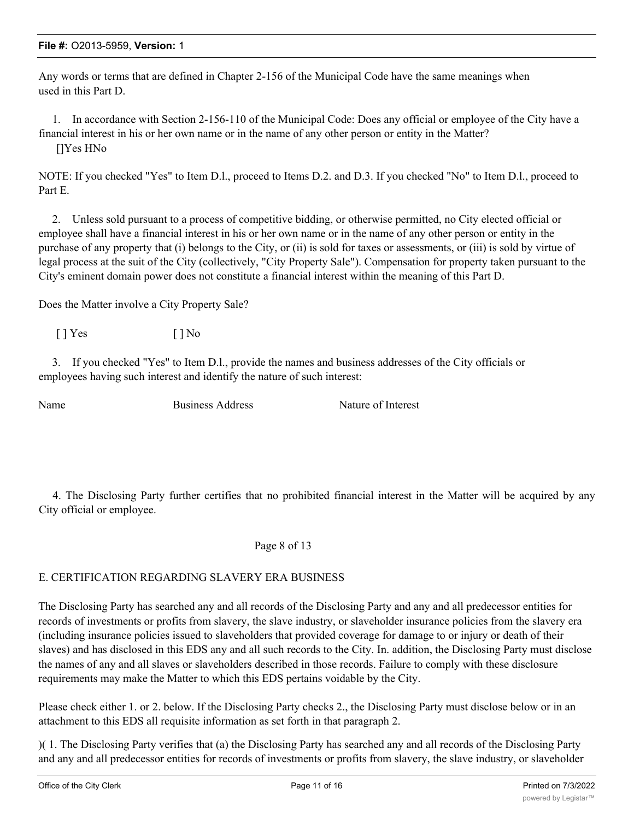Any words or terms that are defined in Chapter 2-156 of the Municipal Code have the same meanings when used in this Part D.

1. In accordance with Section 2-156-110 of the Municipal Code: Does any official or employee of the City have a financial interest in his or her own name or in the name of any other person or entity in the Matter? []Yes HNo

NOTE: If you checked "Yes" to Item D.l., proceed to Items D.2. and D.3. If you checked "No" to Item D.l., proceed to Part E.

2. Unless sold pursuant to a process of competitive bidding, or otherwise permitted, no City elected official or employee shall have a financial interest in his or her own name or in the name of any other person or entity in the purchase of any property that (i) belongs to the City, or (ii) is sold for taxes or assessments, or (iii) is sold by virtue of legal process at the suit of the City (collectively, "City Property Sale"). Compensation for property taken pursuant to the City's eminent domain power does not constitute a financial interest within the meaning of this Part D.

Does the Matter involve a City Property Sale?

 $[$  | Yes  $[$  | No

3. If you checked "Yes" to Item D.l., provide the names and business addresses of the City officials or employees having such interest and identify the nature of such interest:

Name Business Address Nature of Interest

4. The Disclosing Party further certifies that no prohibited financial interest in the Matter will be acquired by any City official or employee.

## Page 8 of 13

# E. CERTIFICATION REGARDING SLAVERY ERA BUSINESS

The Disclosing Party has searched any and all records of the Disclosing Party and any and all predecessor entities for records of investments or profits from slavery, the slave industry, or slaveholder insurance policies from the slavery era (including insurance policies issued to slaveholders that provided coverage for damage to or injury or death of their slaves) and has disclosed in this EDS any and all such records to the City. In. addition, the Disclosing Party must disclose the names of any and all slaves or slaveholders described in those records. Failure to comply with these disclosure requirements may make the Matter to which this EDS pertains voidable by the City.

Please check either 1. or 2. below. If the Disclosing Party checks 2., the Disclosing Party must disclose below or in an attachment to this EDS all requisite information as set forth in that paragraph 2.

)( 1. The Disclosing Party verifies that (a) the Disclosing Party has searched any and all records of the Disclosing Party and any and all predecessor entities for records of investments or profits from slavery, the slave industry, or slaveholder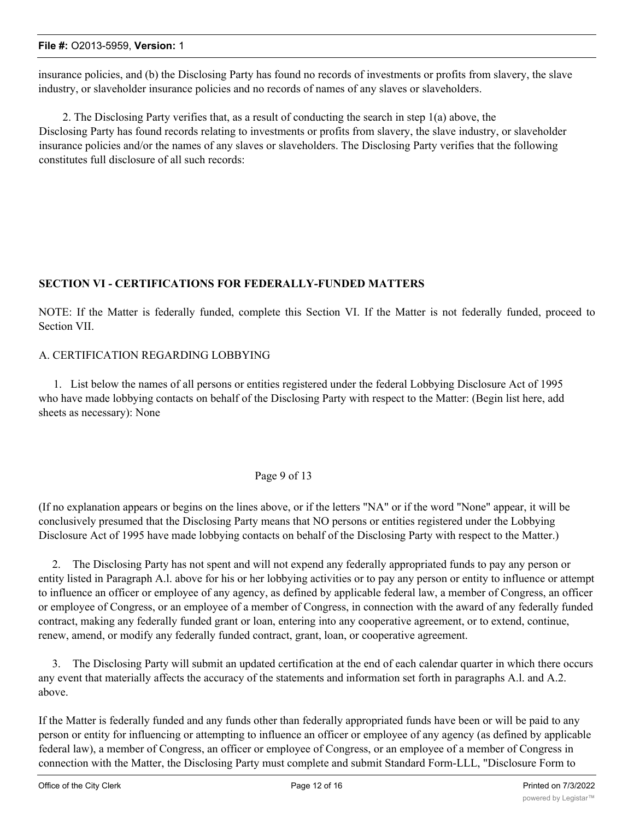insurance policies, and (b) the Disclosing Party has found no records of investments or profits from slavery, the slave industry, or slaveholder insurance policies and no records of names of any slaves or slaveholders.

2. The Disclosing Party verifies that, as a result of conducting the search in step 1(a) above, the Disclosing Party has found records relating to investments or profits from slavery, the slave industry, or slaveholder insurance policies and/or the names of any slaves or slaveholders. The Disclosing Party verifies that the following constitutes full disclosure of all such records:

## **SECTION VI - CERTIFICATIONS FOR FEDERALLY-FUNDED MATTERS**

NOTE: If the Matter is federally funded, complete this Section VI. If the Matter is not federally funded, proceed to Section VII.

## A. CERTIFICATION REGARDING LOBBYING

1. List below the names of all persons or entities registered under the federal Lobbying Disclosure Act of 1995 who have made lobbying contacts on behalf of the Disclosing Party with respect to the Matter: (Begin list here, add sheets as necessary): None

#### Page 9 of 13

(If no explanation appears or begins on the lines above, or if the letters "NA" or if the word "None" appear, it will be conclusively presumed that the Disclosing Party means that NO persons or entities registered under the Lobbying Disclosure Act of 1995 have made lobbying contacts on behalf of the Disclosing Party with respect to the Matter.)

2. The Disclosing Party has not spent and will not expend any federally appropriated funds to pay any person or entity listed in Paragraph A.l. above for his or her lobbying activities or to pay any person or entity to influence or attempt to influence an officer or employee of any agency, as defined by applicable federal law, a member of Congress, an officer or employee of Congress, or an employee of a member of Congress, in connection with the award of any federally funded contract, making any federally funded grant or loan, entering into any cooperative agreement, or to extend, continue, renew, amend, or modify any federally funded contract, grant, loan, or cooperative agreement.

3. The Disclosing Party will submit an updated certification at the end of each calendar quarter in which there occurs any event that materially affects the accuracy of the statements and information set forth in paragraphs A.l. and A.2. above.

If the Matter is federally funded and any funds other than federally appropriated funds have been or will be paid to any person or entity for influencing or attempting to influence an officer or employee of any agency (as defined by applicable federal law), a member of Congress, an officer or employee of Congress, or an employee of a member of Congress in connection with the Matter, the Disclosing Party must complete and submit Standard Form-LLL, "Disclosure Form to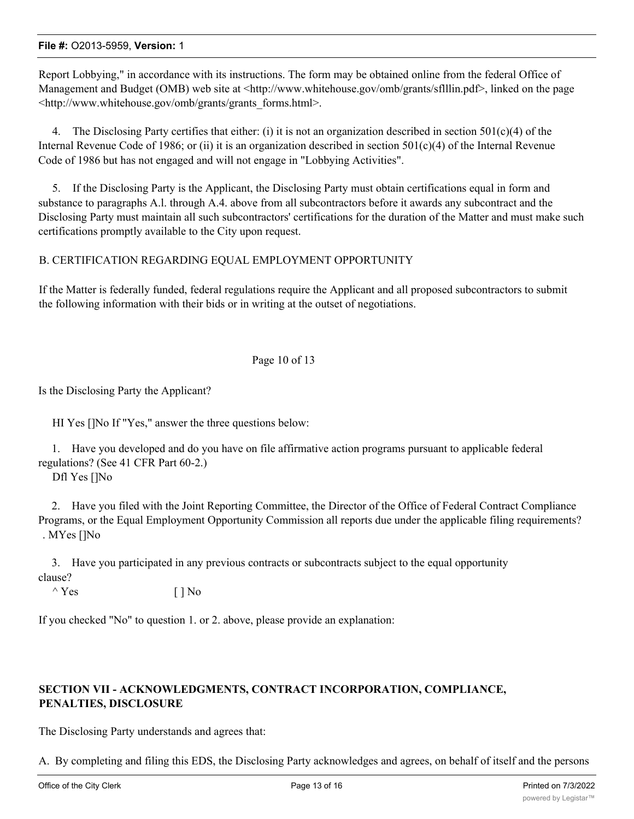Report Lobbying," in accordance with its instructions. The form may be obtained online from the federal Office of Management and Budget (OMB) web site at <http://www.whitehouse.gov/omb/grants/sflllin.pdf>, linked on the page <http://www.whitehouse.gov/omb/grants/grants\_forms.html>.

4. The Disclosing Party certifies that either: (i) it is not an organization described in section  $501(c)(4)$  of the Internal Revenue Code of 1986; or (ii) it is an organization described in section  $501(c)(4)$  of the Internal Revenue Code of 1986 but has not engaged and will not engage in "Lobbying Activities".

5. If the Disclosing Party is the Applicant, the Disclosing Party must obtain certifications equal in form and substance to paragraphs A.l. through A.4. above from all subcontractors before it awards any subcontract and the Disclosing Party must maintain all such subcontractors' certifications for the duration of the Matter and must make such certifications promptly available to the City upon request.

#### B. CERTIFICATION REGARDING EQUAL EMPLOYMENT OPPORTUNITY

If the Matter is federally funded, federal regulations require the Applicant and all proposed subcontractors to submit the following information with their bids or in writing at the outset of negotiations.

#### Page 10 of 13

Is the Disclosing Party the Applicant?

HI Yes []No If "Yes," answer the three questions below:

1. Have you developed and do you have on file affirmative action programs pursuant to applicable federal regulations? (See 41 CFR Part 60-2.)

Dfl Yes []No

2. Have you filed with the Joint Reporting Committee, the Director of the Office of Federal Contract Compliance Programs, or the Equal Employment Opportunity Commission all reports due under the applicable filing requirements? . MYes []No

3. Have you participated in any previous contracts or subcontracts subject to the equal opportunity clause?

 $\wedge$  Yes [ ] No

If you checked "No" to question 1. or 2. above, please provide an explanation:

## **SECTION VII - ACKNOWLEDGMENTS, CONTRACT INCORPORATION, COMPLIANCE, PENALTIES, DISCLOSURE**

The Disclosing Party understands and agrees that:

A. By completing and filing this EDS, the Disclosing Party acknowledges and agrees, on behalf of itself and the persons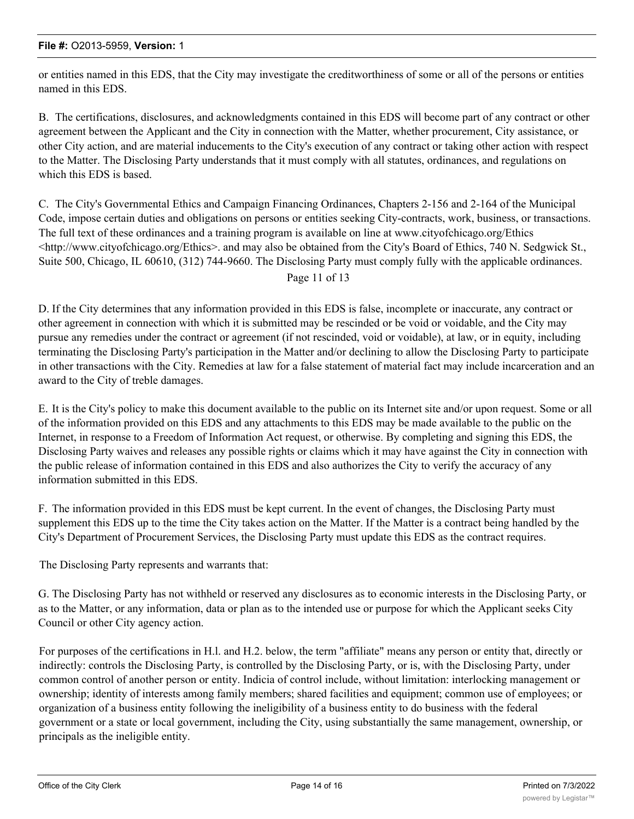or entities named in this EDS, that the City may investigate the creditworthiness of some or all of the persons or entities named in this EDS.

B. The certifications, disclosures, and acknowledgments contained in this EDS will become part of any contract or other agreement between the Applicant and the City in connection with the Matter, whether procurement, City assistance, or other City action, and are material inducements to the City's execution of any contract or taking other action with respect to the Matter. The Disclosing Party understands that it must comply with all statutes, ordinances, and regulations on which this EDS is based.

C. The City's Governmental Ethics and Campaign Financing Ordinances, Chapters 2-156 and 2-164 of the Municipal Code, impose certain duties and obligations on persons or entities seeking City-contracts, work, business, or transactions. The full text of these ordinances and a training program is available on line at www.cityofchicago.org/Ethics <http://www.cityofchicago.org/Ethics>. and may also be obtained from the City's Board of Ethics, 740 N. Sedgwick St., Suite 500, Chicago, IL 60610, (312) 744-9660. The Disclosing Party must comply fully with the applicable ordinances. Page 11 of 13

D. If the City determines that any information provided in this EDS is false, incomplete or inaccurate, any contract or other agreement in connection with which it is submitted may be rescinded or be void or voidable, and the City may pursue any remedies under the contract or agreement (if not rescinded, void or voidable), at law, or in equity, including terminating the Disclosing Party's participation in the Matter and/or declining to allow the Disclosing Party to participate in other transactions with the City. Remedies at law for a false statement of material fact may include incarceration and an award to the City of treble damages.

E. It is the City's policy to make this document available to the public on its Internet site and/or upon request. Some or all of the information provided on this EDS and any attachments to this EDS may be made available to the public on the Internet, in response to a Freedom of Information Act request, or otherwise. By completing and signing this EDS, the Disclosing Party waives and releases any possible rights or claims which it may have against the City in connection with the public release of information contained in this EDS and also authorizes the City to verify the accuracy of any information submitted in this EDS.

F. The information provided in this EDS must be kept current. In the event of changes, the Disclosing Party must supplement this EDS up to the time the City takes action on the Matter. If the Matter is a contract being handled by the City's Department of Procurement Services, the Disclosing Party must update this EDS as the contract requires.

The Disclosing Party represents and warrants that:

G. The Disclosing Party has not withheld or reserved any disclosures as to economic interests in the Disclosing Party, or as to the Matter, or any information, data or plan as to the intended use or purpose for which the Applicant seeks City Council or other City agency action.

For purposes of the certifications in H.l. and H.2. below, the term "affiliate" means any person or entity that, directly or indirectly: controls the Disclosing Party, is controlled by the Disclosing Party, or is, with the Disclosing Party, under common control of another person or entity. Indicia of control include, without limitation: interlocking management or ownership; identity of interests among family members; shared facilities and equipment; common use of employees; or organization of a business entity following the ineligibility of a business entity to do business with the federal government or a state or local government, including the City, using substantially the same management, ownership, or principals as the ineligible entity.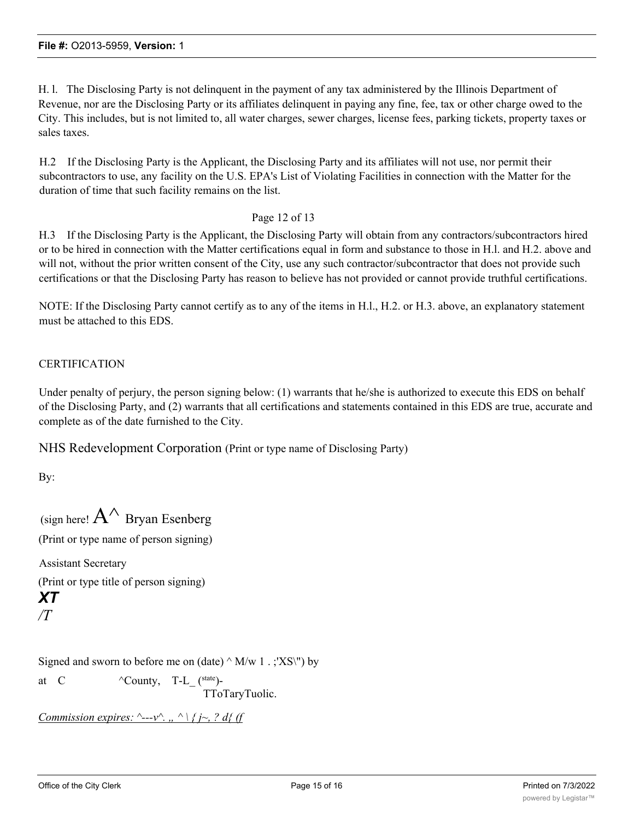H. l. The Disclosing Party is not delinquent in the payment of any tax administered by the Illinois Department of Revenue, nor are the Disclosing Party or its affiliates delinquent in paying any fine, fee, tax or other charge owed to the City. This includes, but is not limited to, all water charges, sewer charges, license fees, parking tickets, property taxes or sales taxes.

H.2 If the Disclosing Party is the Applicant, the Disclosing Party and its affiliates will not use, nor permit their subcontractors to use, any facility on the U.S. EPA's List of Violating Facilities in connection with the Matter for the duration of time that such facility remains on the list.

Page 12 of 13

H.3 If the Disclosing Party is the Applicant, the Disclosing Party will obtain from any contractors/subcontractors hired or to be hired in connection with the Matter certifications equal in form and substance to those in H.l. and H.2. above and will not, without the prior written consent of the City, use any such contractor/subcontractor that does not provide such certifications or that the Disclosing Party has reason to believe has not provided or cannot provide truthful certifications.

NOTE: If the Disclosing Party cannot certify as to any of the items in H.l., H.2. or H.3. above, an explanatory statement must be attached to this EDS.

# **CERTIFICATION**

Under penalty of perjury, the person signing below: (1) warrants that he/she is authorized to execute this EDS on behalf of the Disclosing Party, and (2) warrants that all certifications and statements contained in this EDS are true, accurate and complete as of the date furnished to the City.

NHS Redevelopment Corporation (Print or type name of Disclosing Party)

By:

(sign here!  $A^{\wedge}$  Bryan Esenberg (Print or type name of person signing) Assistant Secretary (Print or type title of person signing) *XT /T*

Signed and sworn to before me on (date)  $\land$  M/w 1 . ;'XS\") by

at C  $\wedge$  County, T-L (state)-

TToTaryTuolic.

```
Commission expires: ^---v^{\wedge}., ^ \ \{i^{\sim}, ? \ d\} (f
```